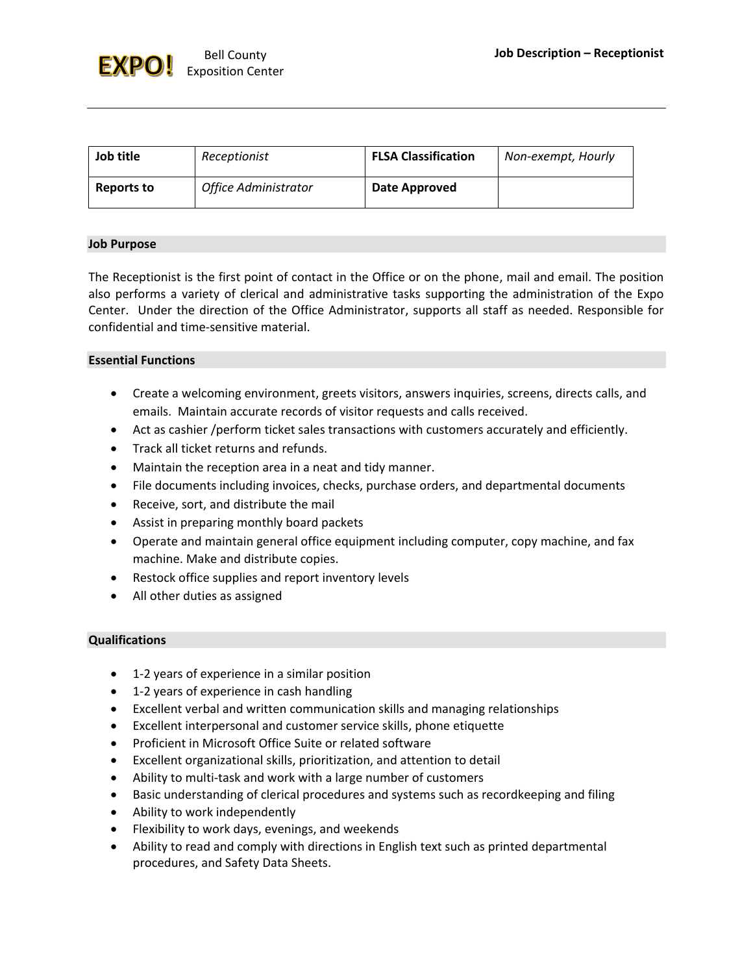| Job title  | Receptionist         | <b>FLSA Classification</b> | Non-exempt, Hourly |
|------------|----------------------|----------------------------|--------------------|
| Reports to | Office Administrator | Date Approved              |                    |

### **Job Purpose**

The Receptionist is the first point of contact in the Office or on the phone, mail and email. The position also performs a variety of clerical and administrative tasks supporting the administration of the Expo Center. Under the direction of the Office Administrator, supports all staff as needed. Responsible for confidential and time-sensitive material.

### **Essential Functions**

- Create a welcoming environment, greets visitors, answers inquiries, screens, directs calls, and emails. Maintain accurate records of visitor requests and calls received.
- Act as cashier /perform ticket sales transactions with customers accurately and efficiently.
- Track all ticket returns and refunds.
- Maintain the reception area in a neat and tidy manner.
- File documents including invoices, checks, purchase orders, and departmental documents
- Receive, sort, and distribute the mail
- Assist in preparing monthly board packets
- Operate and maintain general office equipment including computer, copy machine, and fax machine. Make and distribute copies.
- Restock office supplies and report inventory levels
- All other duties as assigned

# **Qualifications**

- 1-2 years of experience in a similar position
- 1-2 years of experience in cash handling
- Excellent verbal and written communication skills and managing relationships
- Excellent interpersonal and customer service skills, phone etiquette
- Proficient in Microsoft Office Suite or related software
- Excellent organizational skills, prioritization, and attention to detail
- Ability to multi-task and work with a large number of customers
- Basic understanding of clerical procedures and systems such as recordkeeping and filing
- Ability to work independently
- Flexibility to work days, evenings, and weekends
- Ability to read and comply with directions in English text such as printed departmental procedures, and Safety Data Sheets.